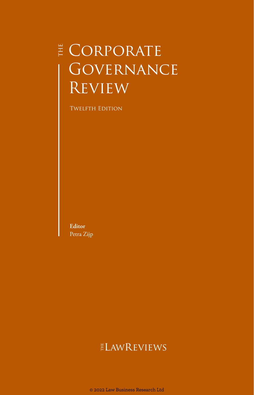# **E** CORPORATE GOVERNANCE **REVIEW**

**TWELFTH EDITION** 

**Editor** Petra Zijp

## ELAWREVIEWS

© 2022 Law Business Research Ltd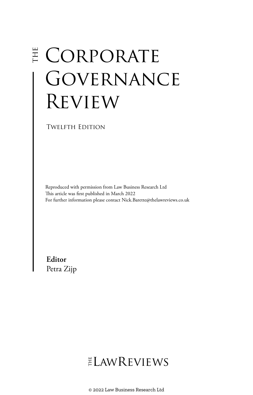# E CORPORATE **GOVERNANCE** Review

Twelfth Edition

Reproduced with permission from Law Business Research Ltd This article was first published in March 2022 For further information please contact Nick.Barette@thelawreviews.co.uk

**Editor** Petra Zijp

ELAWREVIEWS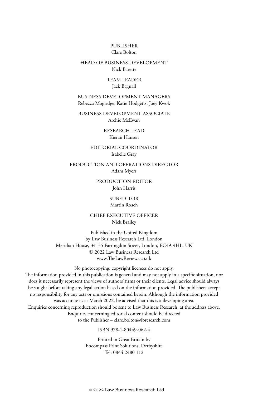#### PUBLISHER Clare Bolton

#### HEAD OF BUSINESS DEVELOPMENT Nick Barette

#### TEAM LEADER Jack Bagnall

BUSINESS DEVELOPMENT MANAGERS Rebecca Mogridge, Katie Hodgetts, Joey Kwok

BUSINESS DEVELOPMENT ASSOCIATE Archie McEwan

> RESEARCH LEAD Kieran Hansen

#### EDITORIAL COORDINATOR Isabelle Gray

PRODUCTION AND OPERATIONS DIRECTOR Adam Myers

> PRODUCTION EDITOR John Harris

> > SUBEDITOR Martin Roach

CHIEF EXECUTIVE OFFICER Nick Brailey

Published in the United Kingdom by Law Business Research Ltd, London Meridian House, 34–35 Farringdon Street, London, EC4A 4HL, UK © 2022 Law Business Research Ltd www.TheLawReviews.co.uk

No photocopying: copyright licences do not apply. The information provided in this publication is general and may not apply in a specific situation, nor does it necessarily represent the views of authors' firms or their clients. Legal advice should always be sought before taking any legal action based on the information provided. The publishers accept no responsibility for any acts or omissions contained herein. Although the information provided was accurate as at March 2022, be advised that this is a developing area. Enquiries concerning reproduction should be sent to Law Business Research, at the address above. Enquiries concerning editorial content should be directed to the Publisher – clare.bolton@lbresearch.com

#### ISBN 978-1-80449-062-4

Printed in Great Britain by Encompass Print Solutions, Derbyshire Tel: 0844 2480 112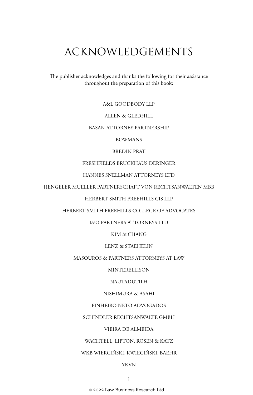# ACKNOWLEDGEMENTS

The publisher acknowledges and thanks the following for their assistance throughout the preparation of this book:

A&L GOODBODY LLP

#### ALLEN & GLEDHILL

#### BASAN ATTORNEY PARTNERSHIP

BOWMANS

#### BREDIN PRAT

#### FRESHFIELDS BRUCKHAUS DERINGER

#### HANNES SNELLMAN ATTORNEYS LTD

HENGELER MUELLER PARTNERSCHAFT VON RECHTSANWÄLTEN MBB

#### HERBERT SMITH FREEHILLS CIS LLP

#### HERBERT SMITH FREEHILLS COLLEGE OF ADVOCATES

#### I&O PARTNERS ATTORNEYS LTD

KIM & CHANG

#### LENZ & STAEHELIN

#### MASOUROS & PARTNERS ATTORNEYS AT LAW

MINTERELLISON

#### NAUTADUTILH

#### NISHIMURA & ASAHI

#### PINHEIRO NETO ADVOGADOS

#### SCHINDLER RECHTSANWÄLTE GMBH

#### VIEIRA DE ALMEIDA

#### WACHTELL, LIPTON, ROSEN & KATZ

#### WKB WIERCIŃSKI, KWIECIŃSKI, BAEHR

#### YKVN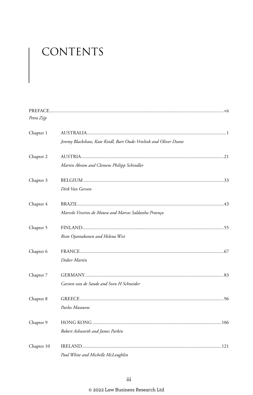# CONTENTS

| Petra Zijp |                                                                   |  |
|------------|-------------------------------------------------------------------|--|
| Chapter 1  |                                                                   |  |
|            | Jeremy Blackshaw, Kate Koidl, Bart Oude-Vrielink and Oliver Deane |  |
| Chapter 2  |                                                                   |  |
|            | Martin Abram and Clemens Philipp Schindler                        |  |
| Chapter 3  |                                                                   |  |
|            | Dirk Van Gerven                                                   |  |
| Chapter 4  |                                                                   |  |
|            | Marcelo Viveiros de Moura and Marcos Saldanha Proença             |  |
| Chapter 5  |                                                                   |  |
|            | Risto Ojantakanen and Helena Wist                                 |  |
| Chapter 6  |                                                                   |  |
|            | Didier Martin                                                     |  |
| Chapter 7  |                                                                   |  |
|            | Carsten van de Sande and Sven H Schneider                         |  |
| Chapter 8  |                                                                   |  |
|            | Pavlos Masouros                                                   |  |
| Chapter 9  |                                                                   |  |
|            | Robert Ashworth and James Parkin                                  |  |
| Chapter 10 |                                                                   |  |
|            | Paul White and Michelle McLoughlin                                |  |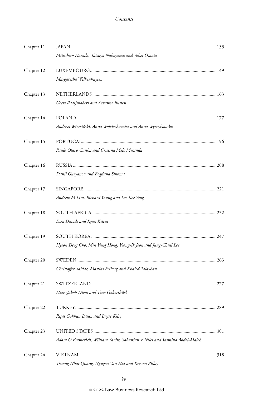| Chapter 11 |                                                                            |  |
|------------|----------------------------------------------------------------------------|--|
|            | Mitsuhiro Harada, Tatsuya Nakayama and Yohei Omata                         |  |
| Chapter 12 |                                                                            |  |
|            | Margaretha Wilkenhuysen                                                    |  |
| Chapter 13 |                                                                            |  |
|            | Geert Raaijmakers and Suzanne Rutten                                       |  |
| Chapter 14 |                                                                            |  |
|            | Andrzej Wierciński, Anna Wojciechowska and Anna Wyrzykowska                |  |
| Chapter 15 |                                                                            |  |
|            | Paulo Olavo Cunha and Cristina Melo Miranda                                |  |
| Chapter 16 |                                                                            |  |
|            | Danil Guryanov and Bogdana Shtoma                                          |  |
| Chapter 17 |                                                                            |  |
|            | Andrew M Lim, Richard Young and Lee Kee Yeng                               |  |
| Chapter 18 |                                                                            |  |
|            | Ezra Davids and Ryan Kitcat                                                |  |
| Chapter 19 |                                                                            |  |
|            | Hyeon Deog Cho, Min Yung Hong, Yeong-Ik Jeon and Jung-Chull Lee            |  |
| Chapter 20 |                                                                            |  |
|            | Christoffer Saidac, Mattias Friberg and Khaled Talayhan                    |  |
| Chapter 21 |                                                                            |  |
|            | Hans-Jakob Diem and Tino Gaberthüel                                        |  |
| Chapter 22 |                                                                            |  |
|            | Reşat Gökhan Basan and Buğse Kılıç                                         |  |
| Chapter 23 |                                                                            |  |
|            | Adam O Emmerich, William Savitt, Sabastian V Niles and Yasmina Abdel-Malek |  |
| Chapter 24 |                                                                            |  |
|            | Truong Nhat Quang, Nguyen Van Hai and Krissen Pillay                       |  |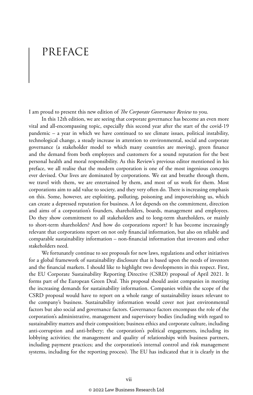# PREFACE

I am proud to present this new edition of *The Corporate Governance Review* to you.

In this 12th edition, we are seeing that corporate governance has become an even more vital and all-encompassing topic, especially this second year after the start of the covid-19 pandemic – a year in which we have continued to see climate issues, political instability, technological change, a steady increase in attention to environmental, social and corporate governance (a stakeholder model to which many countries are moving), green finance and the demand from both employees and customers for a sound reputation for the best personal health and moral responsibility. As this Review's previous editor mentioned in his preface, we all realise that the modern corporation is one of the most ingenious concepts ever devised. Our lives are dominated by corporations. We eat and breathe through them, we travel with them, we are entertained by them, and most of us work for them. Most corporations aim to add value to society, and they very often do. There is increasing emphasis on this. Some, however, are exploiting, polluting, poisoning and impoverishing us, which can create a depressed reputation for business. A lot depends on the commitment, direction and aims of a corporation's founders, shareholders, boards, management and employees. Do they show commitment to all stakeholders and to long-term shareholders, or mainly to short-term shareholders? And how do corporations report? It has become increasingly relevant that corporations report on not only financial information, but also on reliable and comparable sustainability information – non-financial information that investors and other stakeholders need.

We fortunately continue to see proposals for new laws, regulations and other initiatives for a global framework of sustainability disclosure that is based upon the needs of investors and the financial markets. I should like to highlight two developments in this respect. First, the EU Corporate Sustainability Reporting Directive (CSRD) proposal of April 2021. It forms part of the European Green Deal. This proposal should assist companies in meeting the increasing demands for sustainability information. Companies within the scope of the CSRD proposal would have to report on a whole range of sustainability issues relevant to the company's business. Sustainability information would cover not just environmental factors but also social and governance factors. Governance factors encompass the role of the corporation's administrative, management and supervisory bodies (including with regard to sustainability matters and their composition; business ethics and corporate culture, including anti-corruption and anti-bribery; the corporation's political engagements, including its lobbying activities; the management and quality of relationships with business partners, including payment practices; and the corporation's internal control and risk management systems, including for the reporting process). The EU has indicated that it is clearly in the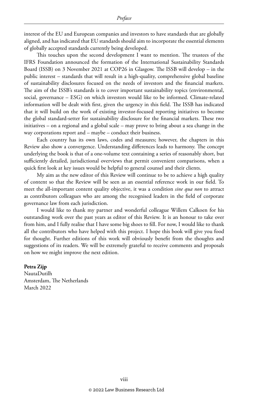interest of the EU and European companies and investors to have standards that are globally aligned, and has indicated that EU standards should aim to incorporate the essential elements of globally accepted standards currently being developed.

This touches upon the second development I want to mention. The trustees of the IFRS Foundation announced the formation of the International Sustainability Standards Board (ISSB) on 3 November 2021 at COP26 in Glasgow. The ISSB will develop – in the public interest – standards that will result in a high-quality, comprehensive global baseline of sustainability disclosures focused on the needs of investors and the financial markets. The aim of the ISSB's standards is to cover important sustainability topics (environmental, social, governance – ESG) on which investors would like to be informed. Climate-related information will be dealt with first, given the urgency in this field. The ISSB has indicated that it will build on the work of existing investor-focused reporting initiatives to become the global standard-setter for sustainability disclosure for the financial markets. These two initiatives – on a regional and a global scale – may prove to bring about a sea change in the way corporations report and – maybe – conduct their business.

Each country has its own laws, codes and measures; however, the chapters in this Review also show a convergence. Understanding differences leads to harmony. The concept underlying the book is that of a one-volume text containing a series of reasonably short, but sufficiently detailed, jurisdictional overviews that permit convenient comparisons, when a quick first look at key issues would be helpful to general counsel and their clients.

My aim as the new editor of this Review will continue to be to achieve a high quality of content so that the Review will be seen as an essential reference work in our field. To meet the all-important content quality objective, it was a condition *sine qua non* to attract as contributors colleagues who are among the recognised leaders in the field of corporate governance law from each jurisdiction.

I would like to thank my partner and wonderful colleague Willem Calkoen for his outstanding work over the past years as editor of this Review. It is an honour to take over from him, and I fully realise that I have some big shoes to fill. For now, I would like to thank all the contributors who have helped with this project. I hope this book will give you food for thought. Further editions of this work will obviously benefit from the thoughts and suggestions of its readers. We will be extremely grateful to receive comments and proposals on how we might improve the next edition.

#### **Petra Zijp**

NautaDutilh Amsterdam, The Netherlands March 2022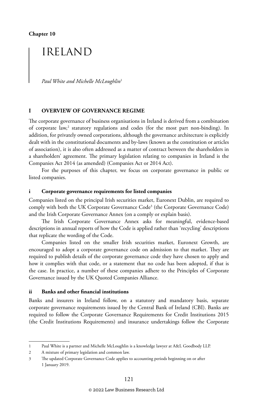**Chapter 10**

### IRELAND

*Paul White and Michelle McLoughlin*<sup>1</sup>

#### **I OVERVIEW OF GOVERNANCE REGIME**

The corporate governance of business organisations in Ireland is derived from a combination of corporate law,<sup>2</sup> statutory regulations and codes (for the most part non-binding). In addition, for privately owned corporations, although the governance architecture is explicitly dealt with in the constitutional documents and by-laws (known as the constitution or articles of association), it is also often addressed as a matter of contract between the shareholders in a shareholders' agreement. The primary legislation relating to companies in Ireland is the Companies Act 2014 (as amended) (Companies Act or 2014 Act).

For the purposes of this chapter, we focus on corporate governance in public or listed companies.

#### **i Corporate governance requirements for listed companies**

Companies listed on the principal Irish securities market, Euronext Dublin, are required to comply with both the UK Corporate Governance Code3 (the Corporate Governance Code) and the Irish Corporate Governance Annex (on a comply or explain basis).

The Irish Corporate Governance Annex asks for meaningful, evidence-based descriptions in annual reports of how the Code is applied rather than 'recycling' descriptions that replicate the wording of the Code.

Companies listed on the smaller Irish securities market, Euronext Growth, are encouraged to adopt a corporate governance code on admission to that market. They are required to publish details of the corporate governance code they have chosen to apply and how it complies with that code, or a statement that no code has been adopted, if that is the case. In practice, a number of these companies adhere to the Principles of Corporate Governance issued by the UK Quoted Companies Alliance.

#### **ii Banks and other financial institutions**

Banks and insurers in Ireland follow, on a statutory and mandatory basis, separate corporate governance requirements issued by the Central Bank of Ireland (CBI). Banks are required to follow the Corporate Governance Requirements for Credit Institutions 2015 (the Credit Institutions Requirements) and insurance undertakings follow the Corporate

<sup>1</sup> Paul White is a partner and Michelle McLoughlin is a knowledge lawyer at A&L Goodbody LLP.

<sup>2</sup> A mixture of primary legislation and common law.

<sup>3</sup> The updated Corporate Governance Code applies to accounting periods beginning on or after 1 January 2019.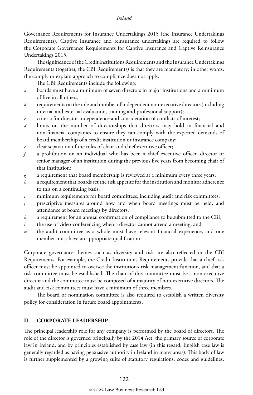Governance Requirements for Insurance Undertakings 2015 (the Insurance Undertakings Requirements). Captive insurance and reinsurance undertakings are required to follow the Corporate Governance Requirements for Captive Insurance and Captive Reinsurance Undertakings 2015.

The significance of the Credit Institutions Requirements and the Insurance Undertakings Requirements (together, the CBI Requirements) is that they are mandatory; in other words, the comply or explain approach to compliance does not apply.

The CBI Requirements include the following:

- *a* boards must have a minimum of seven directors in major institutions and a minimum of five in all others;
- *b* requirements on the role and number of independent non-executive directors (including internal and external evaluation, training and professional support);
- *c* criteria for director independence and consideration of conflicts of interest;
- *d* limits on the number of directorships that directors may hold in financial and non-financial companies to ensure they can comply with the expected demands of board membership of a credit institution or insurance company;
- *e* clear separation of the roles of chair and chief executive officer;
- *f* a prohibition on an individual who has been a chief executive officer, director or senior manager of an institution during the previous five years from becoming chair of that institution;
- *g* a requirement that board membership is reviewed at a minimum every three years;
- *h* a requirement that boards set the risk appetite for the institution and monitor adherence to this on a continuing basis;
- *i* minimum requirements for board committees, including audit and risk committees;
- *j* prescriptive measures around how and when board meetings must be held, and attendance at board meetings by directors;
- *k* a requirement for an annual confirmation of compliance to be submitted to the CBI;
- *l* the use of video-conferencing when a director cannot attend a meeting; and
- *m* the audit committee as a whole must have relevant financial experience, and one member must have an appropriate qualification.

Corporate governance themes such as diversity and risk are also reflected in the CBI Requirements. For example, the Credit Institutions Requirements provide that a chief risk officer must be appointed to oversee the institution's risk management function, and that a risk committee must be established. The chair of this committee must be a non-executive director and the committee must be composed of a majority of non-executive directors. The audit and risk committees must have a minimum of three members.

The board or nomination committee is also required to establish a written diversity policy for consideration in future board appointments.

#### **II CORPORATE LEADERSHIP**

The principal leadership role for any company is performed by the board of directors. The role of the director is governed principally by the 2014 Act, the primary source of corporate law in Ireland, and by principles established by case law (in this regard, English case law is generally regarded as having persuasive authority in Ireland in many areas). This body of law is further supplemented by a growing suite of statutory regulations, codes and guidelines,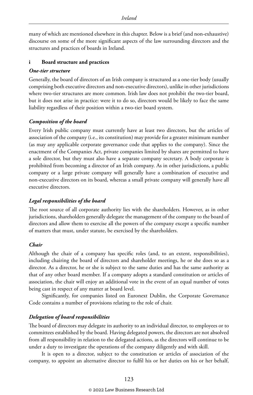many of which are mentioned elsewhere in this chapter. Below is a brief (and non-exhaustive) discourse on some of the more significant aspects of the law surrounding directors and the structures and practices of boards in Ireland.

#### **i Board structure and practices**

#### *One-tier structure*

Generally, the board of directors of an Irish company is structured as a one-tier body (usually comprising both executive directors and non-executive directors), unlike in other jurisdictions where two-tier structures are more common. Irish law does not prohibit the two-tier board, but it does not arise in practice: were it to do so, directors would be likely to face the same liability regardless of their position within a two-tier board system.

#### *Composition of the board*

Every Irish public company must currently have at least two directors, but the articles of association of the company (i.e., its constitution) may provide for a greater minimum number (as may any applicable corporate governance code that applies to the company). Since the enactment of the Companies Act, private companies limited by shares are permitted to have a sole director, but they must also have a separate company secretary. A body corporate is prohibited from becoming a director of an Irish company. As in other jurisdictions, a public company or a large private company will generally have a combination of executive and non-executive directors on its board, whereas a small private company will generally have all executive directors.

#### *Legal responsibilities of the board*

The root source of all corporate authority lies with the shareholders. However, as in other jurisdictions, shareholders generally delegate the management of the company to the board of directors and allow them to exercise all the powers of the company except a specific number of matters that must, under statute, be exercised by the shareholders.

#### *Chair*

Although the chair of a company has specific roles (and, to an extent, responsibilities), including chairing the board of directors and shareholder meetings, he or she does so as a director. As a director, he or she is subject to the same duties and has the same authority as that of any other board member. If a company adopts a standard constitution or articles of association, the chair will enjoy an additional vote in the event of an equal number of votes being cast in respect of any matter at board level.

Significantly, for companies listed on Euronext Dublin, the Corporate Governance Code contains a number of provisions relating to the role of chair.

#### *Delegation of board responsibilities*

The board of directors may delegate its authority to an individual director, to employees or to committees established by the board. Having delegated powers, the directors are not absolved from all responsibility in relation to the delegated actions, as the directors will continue to be under a duty to investigate the operations of the company diligently and with skill.

It is open to a director, subject to the constitution or articles of association of the company, to appoint an alternative director to fulfil his or her duties on his or her behalf,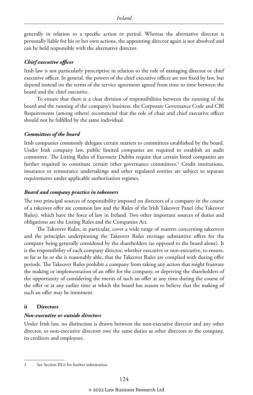generally in relation to a specific action or period. Whereas the alternative director is personally liable for his or her own actions, the appointing director again is not absolved and can be held responsible with the alternative director.

#### *Chief executive officer*

Irish law is not particularly prescriptive in relation to the role of managing director or chief executive officer. In general, the powers of the chief executive officer are not fixed by law, but depend instead on the terms of the service agreement agreed from time to time between the board and the chief executive.

To ensure that there is a clear division of responsibilities between the running of the board and the running of the company's business, the Corporate Governance Code and CBI Requirements (among others) recommend that the role of chair and chief executive officer should not be fulfilled by the same individual.

#### *Committees of the board*

Irish companies commonly delegate certain matters to committees established by the board. Under Irish company law, public limited companies are required to establish an audit committee. The Listing Rules of Euronext Dublin require that certain listed companies are further required to constitute certain other governance committees.<sup>4</sup> Credit institutions, insurance or reinsurance undertakings and other regulated entities are subject to separate requirements under applicable authorisation regimes.

#### *Board and company practice in takeovers*

The two principal sources of responsibility imposed on directors of a company in the course of a takeover offer are common law and the Rules of the Irish Takeover Panel (the Takeover Rules), which have the force of law in Ireland. Two other important sources of duties and obligations are the Listing Rules and the Companies Act.

The Takeover Rules, in particular, cover a wide range of matters concerning takeovers and the principles underpinning the Takeover Rules envisage substantive offers for the company being generally considered by the shareholders (as opposed to the board alone). It is the responsibility of each company director, whether executive or non-executive, to ensure, so far as he or she is reasonably able, that the Takeover Rules are complied with during offer periods. The Takeover Rules prohibit a company from taking any action that might frustrate the making or implementation of an offer for the company, or depriving the shareholders of the opportunity of considering the merits of such an offer at any time during the course of the offer or at any earlier time at which the board has reason to believe that the making of such an offer may be imminent.

#### **ii Directors**

#### *Non-executive or outside directors*

Under Irish law, no distinction is drawn between the non-executive director and any other director, so non-executive directors owe the same duties as other directors to the company, its creditors and employees.

<sup>4</sup> See Section III.ii for further information.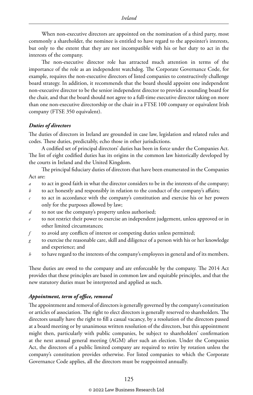When non-executive directors are appointed on the nomination of a third party, most commonly a shareholder, the nominee is entitled to have regard to the appointer's interests, but only to the extent that they are not incompatible with his or her duty to act in the interests of the company.

The non-executive director role has attracted much attention in terms of the importance of the role as an independent watchdog. The Corporate Governance Code, for example, requires the non-executive directors of listed companies to constructively challenge board strategy. In addition, it recommends that the board should appoint one independent non-executive director to be the senior independent director to provide a sounding board for the chair, and that the board should not agree to a full-time executive director taking on more than one non-executive directorship or the chair in a FTSE 100 company or equivalent Irish company (FTSE 350 equivalent).

#### *Duties of directors*

The duties of directors in Ireland are grounded in case law, legislation and related rules and codes. These duties, predictably, echo those in other jurisdictions.

A codified set of principal directors' duties has been in force under the Companies Act. The list of eight codified duties has its origins in the common law historically developed by the courts in Ireland and the United Kingdom.

The principal fiduciary duties of directors that have been enumerated in the Companies Act are:

- *a* to act in good faith in what the director considers to be in the interests of the company;
- *b* to act honestly and responsibly in relation to the conduct of the company's affairs;
- *c* to act in accordance with the company's constitution and exercise his or her powers only for the purposes allowed by law;
- *d* to not use the company's property unless authorised;
- to not restrict their power to exercise an independent judgement, unless approved or in other limited circumstances;
- *f* to avoid any conflicts of interest or competing duties unless permitted;
- *g* to exercise the reasonable care, skill and diligence of a person with his or her knowledge and experience; and
- *h* to have regard to the interests of the company's employees in general and of its members.

These duties are owed to the company and are enforceable by the company. The 2014 Act provides that these principles are based in common law and equitable principles, and that the new statutory duties must be interpreted and applied as such.

#### *Appointment, term of office, removal*

The appointment and removal of directors is generally governed by the company's constitution or articles of association. The right to elect directors is generally reserved to shareholders. The directors usually have the right to fill a casual vacancy, by a resolution of the directors passed at a board meeting or by unanimous written resolution of the directors, but this appointment might then, particularly with public companies, be subject to shareholders' confirmation at the next annual general meeting (AGM) after such an election. Under the Companies Act, the directors of a public limited company are required to retire by rotation unless the company's constitution provides otherwise. For listed companies to which the Corporate Governance Code applies, all the directors must be reappointed annually.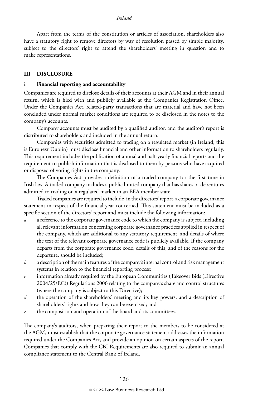Apart from the terms of the constitution or articles of association, shareholders also have a statutory right to remove directors by way of resolution passed by simple majority, subject to the directors' right to attend the shareholders' meeting in question and to make representations.

#### **III DISCLOSURE**

#### **i Financial reporting and accountability**

Companies are required to disclose details of their accounts at their AGM and in their annual return, which is filed with and publicly available at the Companies Registration Office. Under the Companies Act, related-party transactions that are material and have not been concluded under normal market conditions are required to be disclosed in the notes to the company's accounts.

Company accounts must be audited by a qualified auditor, and the auditor's report is distributed to shareholders and included in the annual return.

Companies with securities admitted to trading on a regulated market (in Ireland, this is Euronext Dublin) must disclose financial and other information to shareholders regularly. This requirement includes the publication of annual and half-yearly financial reports and the requirement to publish information that is disclosed to them by persons who have acquired or disposed of voting rights in the company.

The Companies Act provides a definition of a traded company for the first time in Irish law. A traded company includes a public limited company that has shares or debentures admitted to trading on a regulated market in an EEA member state.

Traded companies are required to include, in the directors' report, a corporate governance statement in respect of the financial year concerned. This statement must be included as a specific section of the directors' report and must include the following information:

- *a* a reference to the corporate governance code to which the company is subject, including all relevant information concerning corporate governance practices applied in respect of the company, which are additional to any statutory requirement, and details of where the text of the relevant corporate governance code is publicly available. If the company departs from the corporate governance code, details of this, and of the reasons for the departure, should be included;
- *b* a description of the main features of the company's internal control and risk management systems in relation to the financial reporting process;
- *c* information already required by the European Communities (Takeover Bids (Directive 2004/25/EC)) Regulations 2006 relating to the company's share and control structures (where the company is subject to this Directive);
- *d* the operation of the shareholders' meeting and its key powers, and a description of shareholders' rights and how they can be exercised; and
- the composition and operation of the board and its committees.

The company's auditors, when preparing their report to the members to be considered at the AGM, must establish that the corporate governance statement addresses the information required under the Companies Act, and provide an opinion on certain aspects of the report. Companies that comply with the CBI Requirements are also required to submit an annual compliance statement to the Central Bank of Ireland.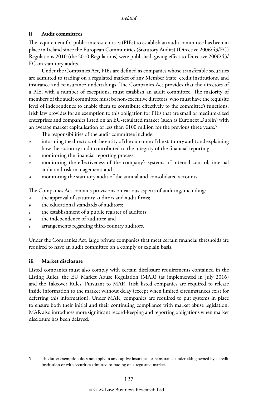#### **ii Audit committees**

The requirement for public interest entities (PIEs) to establish an audit committee has been in place in Ireland since the European Communities (Statutory Audits) (Directive 2006/43/EC) Regulations 2010 (the 2010 Regulations) were published, giving effect to Directive 2006/43/ EC on statutory audits.

Under the Companies Act, PIEs are defined as companies whose transferable securities are admitted to trading on a regulated market of any Member State, credit institutions, and insurance and reinsurance undertakings. The Companies Act provides that the directors of a PIE, with a number of exceptions, must establish an audit committee. The majority of members of the audit committee must be non-executive directors, who must have the requisite level of independence to enable them to contribute effectively to the committee's functions. Irish law provides for an exemption to this obligation for PIEs that are small or medium-sized enterprises and companies listed on an EU-regulated market (such as Euronext Dublin) with an average market capitalisation of less than  $\epsilon$ 100 million for the previous three years.<sup>5</sup>

The responsibilities of the audit committee include:

- *a* informing the directors of the entity of the outcome of the statutory audit and explaining how the statutory audit contributed to the integrity of the financial reporting;
- *b* monitoring the financial reporting process;
- monitoring the effectiveness of the company's systems of internal control, internal audit and risk management; and
- *d* monitoring the statutory audit of the annual and consolidated accounts.

The Companies Act contains provisions on various aspects of auditing, including:

- *a* the approval of statutory auditors and audit firms;
- *b* the educational standards of auditors;
- *c* the establishment of a public register of auditors;
- *d* the independence of auditors; and
- arrangements regarding third-country auditors.

Under the Companies Act, large private companies that meet certain financial thresholds are required to have an audit committee on a comply or explain basis.

#### **iii Market disclosure**

Listed companies must also comply with certain disclosure requirements contained in the Listing Rules, the EU Market Abuse Regulation (MAR) (as implemented in July 2016) and the Takeover Rules. Pursuant to MAR, Irish listed companies are required to release inside information to the market without delay (except when limited circumstances exist for deferring this information). Under MAR, companies are required to put systems in place to ensure both their initial and their continuing compliance with market abuse legislation. MAR also introduces more significant record-keeping and reporting obligations when market disclosure has been delayed.

<sup>5</sup> This latter exemption does not apply to any captive insurance or reinsurance undertaking owned by a credit institution or with securities admitted to trading on a regulated market.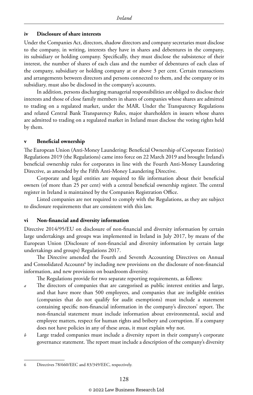#### **iv Disclosure of share interests**

Under the Companies Act, directors, shadow directors and company secretaries must disclose to the company, in writing, interests they have in shares and debentures in the company, its subsidiary or holding company. Specifically, they must disclose the subsistence of their interest, the number of shares of each class and the number of debentures of each class of the company, subsidiary or holding company at or above 3 per cent. Certain transactions and arrangements between directors and persons connected to them, and the company or its subsidiary, must also be disclosed in the company's accounts.

In addition, persons discharging managerial responsibilities are obliged to disclose their interests and those of close family members in shares of companies whose shares are admitted to trading on a regulated market, under the MAR. Under the Transparency Regulations and related Central Bank Transparency Rules, major shareholders in issuers whose shares are admitted to trading on a regulated market in Ireland must disclose the voting rights held by them.

#### **v Beneficial ownership**

The European Union (Anti-Money Laundering: Beneficial Ownership of Corporate Entities) Regulations 2019 (the Regulations) came into force on 22 March 2019 and brought Ireland's beneficial ownership rules for corporates in line with the Fourth Anti-Money Laundering Directive, as amended by the Fifth Anti-Money Laundering Directive.

Corporate and legal entities are required to file information about their beneficial owners (of more than 25 per cent) with a central beneficial ownership register. The central register in Ireland is maintained by the Companies Registration Office.

Listed companies are not required to comply with the Regulations, as they are subject to disclosure requirements that are consistent with this law.

#### **vi Non-financial and diversity information**

Directive 2014/95/EU on disclosure of non-financial and diversity information by certain large undertakings and groups was implemented in Ireland in July 2017, by means of the European Union (Disclosure of non-financial and diversity information by certain large undertakings and groups) Regulations 2017.

The Directive amended the Fourth and Seventh Accounting Directives on Annual and Consolidated Accounts<sup>6</sup> by including new provisions on the disclosure of non-financial information, and new provisions on boardroom diversity.

The Regulations provide for two separate reporting requirements, as follows:

- *a* The directors of companies that are categorised as public interest entities and large, and that have more than 500 employees, and companies that are ineligible entities (companies that do not qualify for audit exemptions) must include a statement containing specific non-financial information in the company's directors' report. The non-financial statement must include information about environmental, social and employee matters, respect for human rights and bribery and corruption. If a company does not have policies in any of these areas, it must explain why not.
- *b* Large traded companies must include a diversity report in their company's corporate governance statement. The report must include a description of the company's diversity

<sup>6</sup> Directives 78/660/EEC and 83/349/EEC, respectively.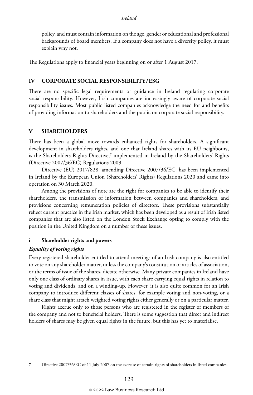policy, and must contain information on the age, gender or educational and professional backgrounds of board members. If a company does not have a diversity policy, it must explain why not.

The Regulations apply to financial years beginning on or after 1 August 2017.

#### **IV CORPORATE SOCIAL RESPONSIBILITY/ESG**

There are no specific legal requirements or guidance in Ireland regulating corporate social responsibility. However, Irish companies are increasingly aware of corporate social responsibility issues. Most public listed companies acknowledge the need for and benefits of providing information to shareholders and the public on corporate social responsibility.

#### **V SHAREHOLDERS**

There has been a global move towards enhanced rights for shareholders. A significant development in shareholders rights, and one that Ireland shares with its EU neighbours, is the Shareholders Rights Directive, $^7$  implemented in Ireland by the Shareholders' Rights (Directive 2007/36/EC) Regulations 2009.

Directive (EU) 2017/828, amending Directive 2007/36/EC, has been implemented in Ireland by the European Union (Shareholders' Rights) Regulations 2020 and came into operation on 30 March 2020.

Among the provisions of note are the right for companies to be able to identify their shareholders, the transmission of information between companies and shareholders, and provisions concerning remuneration policies of directors. These provisions substantially reflect current practice in the Irish market, which has been developed as a result of Irish listed companies that are also listed on the London Stock Exchange opting to comply with the position in the United Kingdom on a number of these issues.

#### **i Shareholder rights and powers**

#### *Equality of voting rights*

Every registered shareholder entitled to attend meetings of an Irish company is also entitled to vote on any shareholder matter, unless the company's constitution or articles of association, or the terms of issue of the shares, dictate otherwise. Many private companies in Ireland have only one class of ordinary shares in issue, with each share carrying equal rights in relation to voting and dividends, and on a winding-up. However, it is also quite common for an Irish company to introduce different classes of shares, for example voting and non-voting, or a share class that might attach weighted voting rights either generally or on a particular matter.

Rights accrue only to those persons who are registered in the register of members of the company and not to beneficial holders. There is some suggestion that direct and indirect holders of shares may be given equal rights in the future, but this has yet to materialise.

<sup>7</sup> Directive 2007/36/EC of 11 July 2007 on the exercise of certain rights of shareholders in listed companies.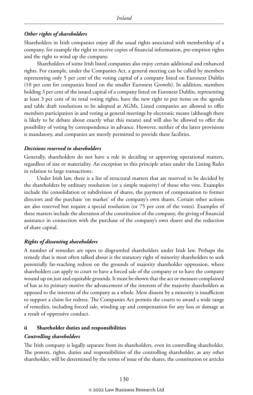#### *Other rights of shareholders*

Shareholders in Irish companies enjoy all the usual rights associated with membership of a company, for example the right to receive copies of financial information, pre-emption rights and the right to wind up the company.

Shareholders of some Irish listed companies also enjoy certain additional and enhanced rights. For example, under the Companies Act, a general meeting can be called by members representing only 5 per cent of the voting capital of a company listed on Euronext Dublin (10 per cent for companies listed on the smaller Euronext Growth). In addition, members holding 3 per cent of the issued capital of a company listed on Euronext Dublin, representing at least 3 per cent of its total voting rights, have the new right to put items on the agenda and table draft resolutions to be adopted at AGMs. Listed companies are allowed to offer members participation in and voting at general meetings by electronic means (although there is likely to be debate about exactly what this means) and will also be allowed to offer the possibility of voting by correspondence in advance. However, neither of the latter provisions is mandatory, and companies are merely permitted to provide these facilities.

#### *Decisions reserved to shareholders*

Generally, shareholders do not have a role in deciding or approving operational matters, regardless of size or materiality. An exception to this principle arises under the Listing Rules in relation to large transactions.

Under Irish law, there is a list of structural matters that are reserved to be decided by the shareholders by ordinary resolution (or a simple majority) of those who vote. Examples include the consolidation or subdivision of shares, the payment of compensation to former directors and the purchase 'on market' of the company's own shares. Certain other actions are also reserved but require a special resolution (or 75 per cent of the votes). Examples of these matters include the alteration of the constitution of the company, the giving of financial assistance in connection with the purchase of the company's own shares and the reduction of share capital.

#### *Rights of dissenting shareholders*

A number of remedies are open to disgruntled shareholders under Irish law. Perhaps the remedy that is most often talked about is the statutory right of minority shareholders to seek potentially far-reaching redress on the grounds of majority shareholder oppression, where shareholders can apply to court to have a forced sale of the company or to have the company wound up on just and equitable grounds. It must be shown that the act or measure complained of has as its primary motive the advancement of the interests of the majority shareholders as opposed to the interests of the company as a whole. Mere dissent by a minority is insufficient to support a claim for redress. The Companies Act permits the courts to award a wide range of remedies, including forced sale, winding up and compensation for any loss or damage as a result of oppressive conduct.

#### **ii Shareholder duties and responsibilities**

#### *Controlling shareholders*

The Irish company is legally separate from its shareholders, even its controlling shareholder. The powers, rights, duties and responsibilities of the controlling shareholder, as any other shareholder, will be determined by the terms of issue of the shares, the constitution or articles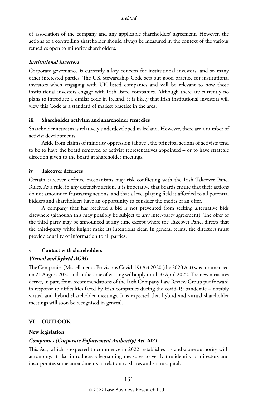of association of the company and any applicable shareholders' agreement. However, the actions of a controlling shareholder should always be measured in the context of the various remedies open to minority shareholders.

#### *Institutional investors*

Corporate governance is currently a key concern for institutional investors, and so many other interested parties. The UK Stewardship Code sets out good practice for institutional investors when engaging with UK listed companies and will be relevant to how those institutional investors engage with Irish listed companies. Although there are currently no plans to introduce a similar code in Ireland, it is likely that Irish institutional investors will view this Code as a standard of market practice in the area.

#### **iii Shareholder activism and shareholder remedies**

Shareholder activism is relatively underdeveloped in Ireland. However, there are a number of activist developments.

Aside from claims of minority oppression (above), the principal actions of activists tend to be to have the board removed or activist representatives appointed – or to have strategic direction given to the board at shareholder meetings.

#### **iv Takeover defences**

Certain takeover defence mechanisms may risk conflicting with the Irish Takeover Panel Rules. As a rule, in any defensive action, it is imperative that boards ensure that their actions do not amount to frustrating actions, and that a level playing field is afforded to all potential bidders and shareholders have an opportunity to consider the merits of an offer.

A company that has received a bid is not prevented from seeking alternative bids elsewhere (although this may possibly be subject to any inter-party agreement). The offer of the third party may be announced at any time except where the Takeover Panel directs that the third-party white knight make its intentions clear. In general terms, the directors must provide equality of information to all parties.

#### **v Contact with shareholders**

#### *Virtual and hybrid AGMs*

The Companies (Miscellaneous Provisions Covid-19) Act 2020 (the 2020 Act) was commenced on 21 August 2020 and at the time of writing will apply until 30 April 2022. The new measures derive, in part, from recommendations of the Irish Company Law Review Group put forward in response to difficulties faced by Irish companies during the covid-19 pandemic – notably virtual and hybrid shareholder meetings. It is expected that hybrid and virtual shareholder meetings will soon be recognised in general.

#### **VI OUTLOOK**

#### **New legislation**

#### *Companies (Corporate Enforcement Authority) Act 2021*

This Act, which is expected to commence in 2022, establishes a stand-alone authority with autonomy. It also introduces safeguarding measures to verify the identity of directors and incorporates some amendments in relation to shares and share capital.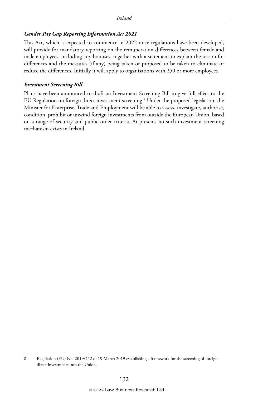#### *Gender Pay Gap Reporting Information Act 2021*

This Act, which is expected to commence in 2022 once regulations have been developed, will provide for mandatory reporting on the remuneration differences between female and male employees, including any bonuses, together with a statement to explain the reason for differences and the measures (if any) being taken or proposed to be taken to eliminate or reduce the differences. Initially it will apply to organisations with 250 or more employees.

#### *Investment Screening Bill*

Plans have been announced to draft an Investment Screening Bill to give full effect to the EU Regulation on foreign direct investment screening.8 Under the proposed legislation, the Minister for Enterprise, Trade and Employment will be able to assess, investigate, authorise, condition, prohibit or unwind foreign investments from outside the European Union, based on a range of security and public order criteria. At present, no such investment screening mechanism exists in Ireland.

<sup>8</sup> Regulation (EU) No. 2019/452 of 19 March 2019 establishing a framework for the screening of foreign direct investments into the Union.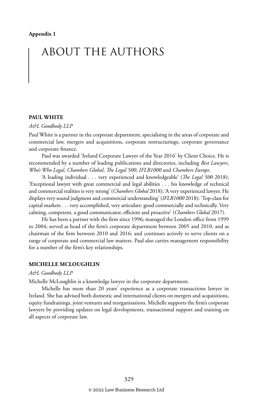# ABOUT THE AUTHORS

#### **PAUL WHITE**

#### *A&L Goodbody LLP*

Paul White is a partner in the corporate department, specialising in the areas of corporate and commercial law, mergers and acquisitions, corporate restructurings, corporate governance and corporate finance.

Paul was awarded 'Ireland Corporate Lawyer of the Year 2016' by Client Choice. He is recommended by a number of leading publications and directories, including *Best Lawyers*, *Who's Who Legal*, *Chambers Global*, *The Legal 500*, *IFLR1000* and *Chambers Europe*.

'A leading individual . . . very experienced and knowledgeable' (*The Legal 500* 2018); 'Exceptional lawyer with great commercial and legal abilities . . . his knowledge of technical and commercial realities is very strong' (*Chambers Global* 2018); 'A very experienced lawyer. He displays very sound judgment and commercial understanding' (*IFLR1000* 2018); 'Top-class for capital markets . . . very accomplished, very articulate: good commercially and technically. Very calming, competent, a good communicator, efficient and proactive' (*Chambers Global* 2017).

He has been a partner with the firm since 1996; managed the London office from 1999 to 2004; served as head of the firm's corporate department between 2005 and 2010, and as chairman of the firm between 2010 and 2016; and continues actively to serve clients on a range of corporate and commercial law matters. Paul also carries management responsibility for a number of the firm's key relationships.

#### **MICHELLE MCLOUGHLIN**

#### *A&L Goodbody LLP*

Michelle McLoughlin is a knowledge lawyer in the corporate department.

Michelle has more than 20 years' experience as a corporate transactions lawyer in Ireland. She has advised both domestic and international clients on mergers and acquisitions, equity fundraisings, joint ventures and reorganisations. Michelle supports the firm's corporate lawyers by providing updates on legal developments, transactional support and training on all aspects of corporate law.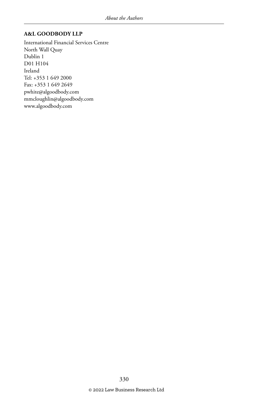#### **A&L GOODBODY LLP**

International Financial Services Centre North Wall Quay Dublin 1 D01 H104 Ireland Tel: +353 1 649 2000 Fax: +353 1 649 2649 pwhite@algoodbody.com mmcloughlin@algoodbody.com www.algoodbody.com